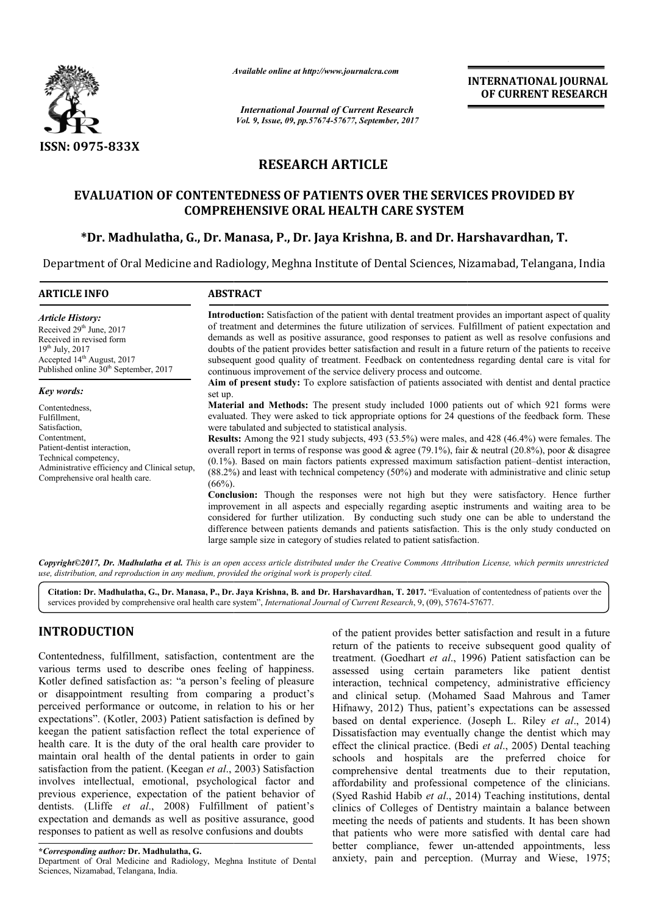

*Available online at http://www.journalcra.com*

*International Journal of Current Research Vol. 9, Issue, 09, pp.57674-57677, September, 2017* **INTERNATIONAL JOURNAL OF CURRENT RESEARCH**

# **RESEARCH ARTICLE**

# **EVALUATION OF CONTENTEDNESS OF PATIENTS OVER THE SERVICES PROVIDED BY COMPREHENSIVE ORAL HEALTH CARE SYSTEM** VALUATION OF CONTENTEDNESS OF PATIENTS OVER THE SERVICES PROVIDED BY<br>COMPREHENSIVE ORAL HEALTH CARE SYSTEM<br>\*Dr. Madhulatha, G., Dr. Manasa, P., Dr. Jaya Krishna, B. and Dr. Harshavardhan, T.

Department of Oral Medicine and Radiology, Meghna Institute of Dental Sciences, Nizamabad, Telangana, India

| <b>ARTICLE INFO</b>                                                                                                                                                                                                        | <b>ABSTRACT</b>                                                                                                                                                                                                                                                                                                                                                                                                                                                                                                                                                                                                                                                                                                                                                                                                                                                                                                                                                                                                                                                                                                                                                                                                                              |
|----------------------------------------------------------------------------------------------------------------------------------------------------------------------------------------------------------------------------|----------------------------------------------------------------------------------------------------------------------------------------------------------------------------------------------------------------------------------------------------------------------------------------------------------------------------------------------------------------------------------------------------------------------------------------------------------------------------------------------------------------------------------------------------------------------------------------------------------------------------------------------------------------------------------------------------------------------------------------------------------------------------------------------------------------------------------------------------------------------------------------------------------------------------------------------------------------------------------------------------------------------------------------------------------------------------------------------------------------------------------------------------------------------------------------------------------------------------------------------|
| <b>Article History:</b><br>Received $29th$ June, 2017<br>Received in revised form<br>$19^{th}$ July, 2017<br>Accepted $14th$ August, 2017<br>Published online 30 <sup>th</sup> September, 2017                             | <b>Introduction:</b> Satisfaction of the patient with dental treatment provides an important aspect of quality<br>of treatment and determines the future utilization of services. Fulfillment of patient expectation and<br>demands as well as positive assurance, good responses to patient as well as resolve confusions and<br>doubts of the patient provides better satisfaction and result in a future return of the patients to receive<br>subsequent good quality of treatment. Feedback on contentedness regarding dental care is vital for<br>continuous improvement of the service delivery process and outcome.                                                                                                                                                                                                                                                                                                                                                                                                                                                                                                                                                                                                                   |
| Key words:<br>Contentedness,<br>Fulfillment,<br>Satisfaction,<br>Contentment,<br>Patient-dentist interaction,<br>Technical competency,<br>Administrative efficiency and Clinical setup,<br>Comprehensive oral health care. | Aim of present study: To explore satisfaction of patients associated with dentist and dental practice<br>set up.<br><b>Material and Methods:</b> The present study included 1000 patients out of which 921 forms were<br>evaluated. They were asked to tick appropriate options for 24 questions of the feedback form. These<br>were tabulated and subjected to statistical analysis.<br>Results: Among the 921 study subjects, 493 (53.5%) were males, and 428 (46.4%) were females. The<br>overall report in terms of response was good & agree (79.1%), fair & neutral (20.8%), poor & disagree<br>$(0.1\%)$ . Based on main factors patients expressed maximum satisfaction patient-dentist interaction,<br>$(88.2\%)$ and least with technical competency $(50\%)$ and moderate with administrative and clinic setup<br>$(66%)$ .<br>Conclusion: Though the responses were not high but they were satisfactory. Hence further<br>improvement in all aspects and especially regarding aseptic instruments and waiting area to be<br>considered for further utilization. By conducting such study one can be able to understand the<br>difference between patients demands and patients satisfaction. This is the only study conducted on |

Copyright©2017, Dr. Madhulatha et al. This is an open access article distributed under the Creative Commons Attribution License, which permits unrestricted *use, distribution, and reproduction in any medium, provided the original work is properly cited.*

Citation: Dr. Madhulatha, G., Dr. Manasa, P., Dr. Jaya Krishna, B. and Dr. Harshavardhan, T. 2017. "Evaluation of contentedness of patients over the services provided by comprehensive oral health care system", *Internation* services provided by comprehensive oral health care system", *International Journal of Current Research*, 9, (09), 57674-

# **INTRODUCTION**

Contentedness, fulfillment, satisfaction, contentment are the various terms used to describe ones feeling of happiness. Kotler defined satisfaction as: "a person's feeling of pleasure or disappointment resulting from comparing a product's perceived performance or outcome, in relation to his or her expectations". (Kotler, 2003) Patient satisfaction is defined by keegan the patient satisfaction reflect the total experience of health care. It is the duty of the oral health care provider to maintain oral health of the dental patients in order to gain satisfaction from the patient. (Keegan *et al.*, 2003) Satisfaction involves intellectual, emotional, psychological factor and previous experience, expectation of the patient behavior of dentists. (Lliffe *et al*., 2008) Fulfillment of patient's expectation and demands as well as positive assurance, good responses to patient as well as resolve confusions and doubts , fulfillment, satisfaction, contentment are the used to describe ones feeling of happiness. I satisfaction as: "a person's feeling of pleasure ment resulting from comparing a product's formance or outcome, in relation to

**\****Corresponding author:* **Dr. Madhulatha, G.**

Department of Oral Medicine and Radiology, Meghna Institute of Dental Sciences, Nizamabad, Telangana, India.

**all the patient provides better satisfaction and result in a future<br>
fillment, satisfaction, contentment are the<br>
d to describe ones feeling of happiness.<br>
sfaction as: "a person's feeling of pleasure<br>
interaction, techn** return of the patients to receive subsequent good quality of treatment. (Goedhart *et al.*, 1996) Patient satisfaction can be assessed using certain parameters like patient dentist interaction, technical competency, administrative efficiency and clinical setup. (Mohamed Saad Mahrous and Tamer Hifnawy, 2012) Thus, patient's expectations can be assessed assessed using certain parameters like patient dentist<br>interaction, technical competency, administrative efficiency<br>and clinical setup. (Mohamed Saad Mahrous and Tamer<br>Hifnawy, 2012) Thus, patient's expectations can be ass Dissatisfaction may eventually change the dentist which may Dissatisfaction may eventually change the dentist which may effect the clinical practice. (Bedi *et al.*, 2005) Dental teaching schools and hospitals are the preferred choice for comprehensive dental treatments due to their reputation, affordability and professional competence of the clinicians. (Syed Rashid Habib *et al*., 2014 clinics of Colleges of Dentistry maintain a balance between meeting the needs of patients and students. It has been shown meeting the needs of patients and students. It has been shown that patients who were more satisfied with dental care had better compliance, fewer un-attended appointments, less anxiety, pain and perception. (Murray and Wiese, 1975; ent provides better satisfaction and result in a future<br>the patients to receive subsequent good quality of<br>(Goedhart *et al.*, 1996) Patient satisfaction can be schools and hospitals are the preferred choice for comprehensive dental treatments due to their reputation, affordability and professional competence of the clinicians. (Syed Rashid Habib *et al.*, 2014) Teaching institut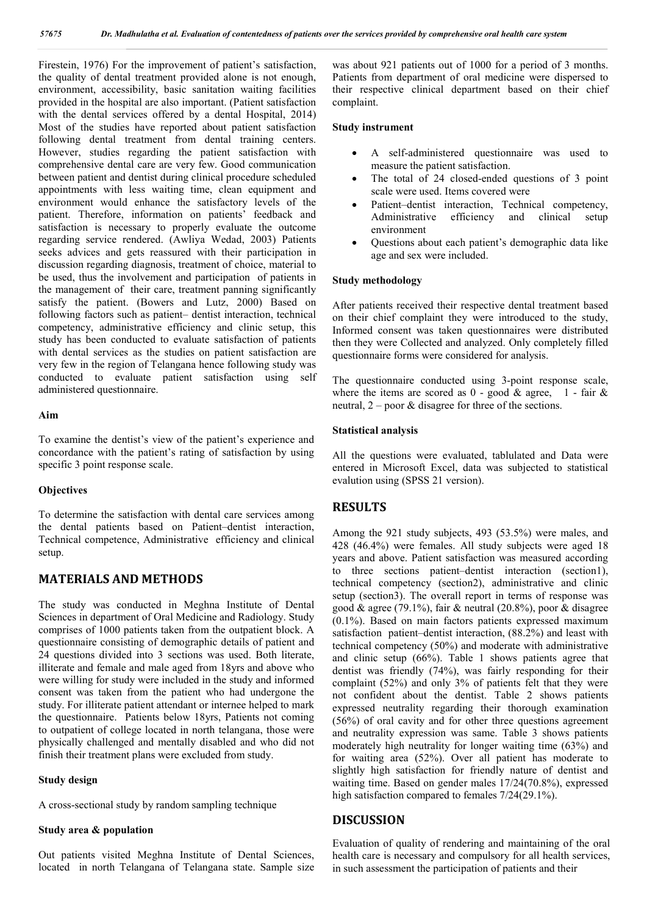Firestein, 1976) For the improvement of patient's satisfaction, the quality of dental treatment provided alone is not enough, environment, accessibility, basic sanitation waiting facilities provided in the hospital are also important. (Patient satisfaction with the dental services offered by a dental Hospital, 2014) Most of the studies have reported about patient satisfaction following dental treatment from dental training centers. However, studies regarding the patient satisfaction with comprehensive dental care are very few. Good communication between patient and dentist during clinical procedure scheduled appointments with less waiting time, clean equipment and environment would enhance the satisfactory levels of the patient. Therefore, information on patients' feedback and satisfaction is necessary to properly evaluate the outcome regarding service rendered. (Awliya Wedad, 2003) Patients seeks advices and gets reassured with their participation in discussion regarding diagnosis, treatment of choice, material to be used, thus the involvement and participation of patients in the management of their care, treatment panning significantly satisfy the patient. (Bowers and Lutz, 2000) Based on following factors such as patient– dentist interaction, technical competency, administrative efficiency and clinic setup, this study has been conducted to evaluate satisfaction of patients with dental services as the studies on patient satisfaction are very few in the region of Telangana hence following study was conducted to evaluate patient satisfaction using self administered questionnaire.

#### **Aim**

To examine the dentist's view of the patient's experience and concordance with the patient's rating of satisfaction by using specific 3 point response scale.

#### **Objectives**

To determine the satisfaction with dental care services among the dental patients based on Patient–dentist interaction, Technical competence, Administrative efficiency and clinical setup.

# **MATERIALS AND METHODS**

The study was conducted in Meghna Institute of Dental Sciences in department of Oral Medicine and Radiology. Study comprises of 1000 patients taken from the outpatient block. A questionnaire consisting of demographic details of patient and 24 questions divided into 3 sections was used. Both literate, illiterate and female and male aged from 18yrs and above who were willing for study were included in the study and informed consent was taken from the patient who had undergone the study. For illiterate patient attendant or internee helped to mark the questionnaire. Patients below 18yrs, Patients not coming to outpatient of college located in north telangana, those were physically challenged and mentally disabled and who did not finish their treatment plans were excluded from study.

#### **Study design**

A cross-sectional study by random sampling technique

# **Study area & population**

Out patients visited Meghna Institute of Dental Sciences, located in north Telangana of Telangana state. Sample size was about 921 patients out of 1000 for a period of 3 months. Patients from department of oral medicine were dispersed to their respective clinical department based on their chief complaint.

#### **Study instrument**

- A self-administered questionnaire was used to measure the patient satisfaction.
- The total of 24 closed-ended questions of 3 point scale were used. Items covered were
- Patient–dentist interaction, Technical competency, Administrative efficiency and clinical setup environment
- Questions about each patient's demographic data like age and sex were included.

#### **Study methodology**

After patients received their respective dental treatment based on their chief complaint they were introduced to the study, Informed consent was taken questionnaires were distributed then they were Collected and analyzed. Only completely filled questionnaire forms were considered for analysis.

The questionnaire conducted using 3-point response scale, where the items are scored as  $0 - \text{good } \& \text{ agree}, \quad 1 - \text{fair } \& \text{ }$ neutral, 2 – poor & disagree for three of the sections.

#### **Statistical analysis**

All the questions were evaluated, tablulated and Data were entered in Microsoft Excel, data was subjected to statistical evalution using (SPSS 21 version).

### **RESULTS**

Among the 921 study subjects, 493 (53.5%) were males, and 428 (46.4%) were females. All study subjects were aged 18 years and above. Patient satisfaction was measured according to three sections patient–dentist interaction (section1), technical competency (section2), administrative and clinic setup (section3). The overall report in terms of response was good & agree (79.1%), fair & neutral (20.8%), poor & disagree (0.1%). Based on main factors patients expressed maximum satisfaction patient–dentist interaction, (88.2%) and least with technical competency (50%) and moderate with administrative and clinic setup (66%). Table 1 shows patients agree that dentist was friendly (74%), was fairly responding for their complaint (52%) and only 3% of patients felt that they were not confident about the dentist. Table 2 shows patients expressed neutrality regarding their thorough examination (56%) of oral cavity and for other three questions agreement and neutrality expression was same. Table 3 shows patients moderately high neutrality for longer waiting time (63%) and for waiting area (52%). Over all patient has moderate to slightly high satisfaction for friendly nature of dentist and waiting time. Based on gender males 17/24(70.8%), expressed high satisfaction compared to females  $7/24(29.1\%)$ .

#### **DISCUSSION**

Evaluation of quality of rendering and maintaining of the oral health care is necessary and compulsory for all health services, in such assessment the participation of patients and their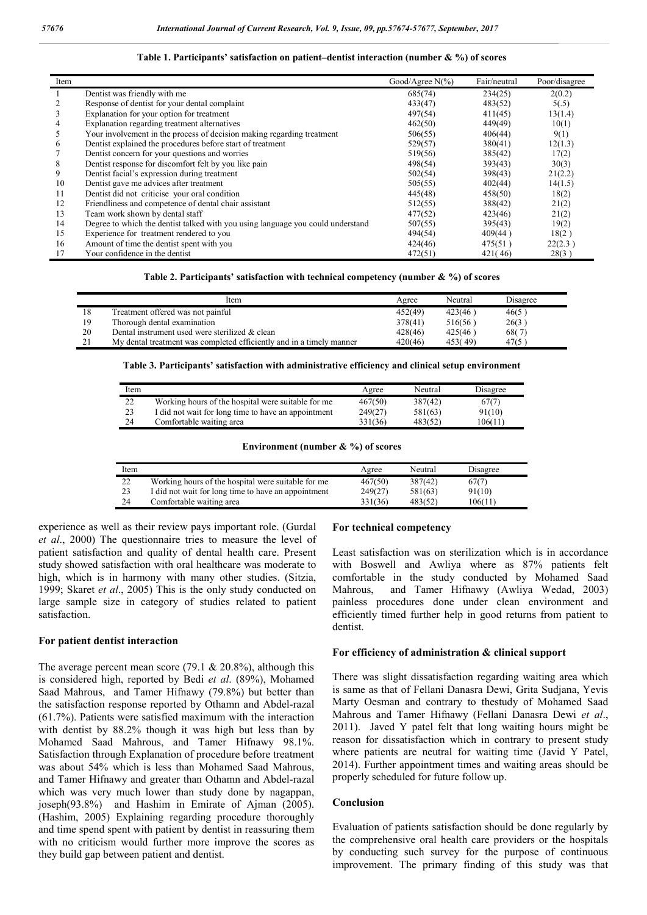| Item |                                                                                 | Good/Agree $N(\% )$ | Fair/neutral | Poor/disagree |
|------|---------------------------------------------------------------------------------|---------------------|--------------|---------------|
|      | Dentist was friendly with me                                                    | 685(74)             | 234(25)      | 2(0.2)        |
|      | Response of dentist for your dental complaint                                   | 433(47)             | 483(52)      | 5(.5)         |
| 3    | Explanation for your option for treatment                                       | 497(54)             | 411(45)      | 13(1.4)       |
| 4    | Explanation regarding treatment alternatives                                    | 462(50)             | 449(49)      | 10(1)         |
| 5    | Your involvement in the process of decision making regarding treatment          | 506(55)             | 406(44)      | 9(1)          |
| 6    | Dentist explained the procedures before start of treatment                      | 529(57)             | 380(41)      | 12(1.3)       |
|      | Dentist concern for your questions and worries                                  | 519(56)             | 385(42)      | 17(2)         |
| 8    | Dentist response for discomfort felt by you like pain                           | 498(54)             | 393(43)      | 30(3)         |
| 9    | Dentist facial's expression during treatment                                    | 502(54)             | 398(43)      | 21(2.2)       |
| 10   | Dentist gave me advices after treatment                                         | 505(55)             | 402(44)      | 14(1.5)       |
| 11   | Dentist did not criticise your oral condition                                   | 445(48)             | 458(50)      | 18(2)         |
| 12   | Friendliness and competence of dental chair assistant                           | 512(55)             | 388(42)      | 21(2)         |
| 13   | Team work shown by dental staff                                                 | 477(52)             | 423(46)      | 21(2)         |
| 14   | Degree to which the dentist talked with you using language you could understand | 507(55)             | 395(43)      | 19(2)         |
| 15   | Experience for treatment rendered to you                                        | 494(54)             | 409(44)      | 18(2)         |
| 16   | Amount of time the dentist spent with you                                       | 424(46)             | 475(51)      | 22(2.3)       |
|      | Your confidence in the dentist                                                  | 472(51)             | 421(46)      | 28(3)         |

#### **Table 1. Participants' satisfaction on patient–dentist interaction (number & %) of scores**

**Table 2. Participants' satisfaction with technical competency (number & %) of scores**

|    | Item                                                                 | Agree   | Neutral | Disagree |
|----|----------------------------------------------------------------------|---------|---------|----------|
|    | Treatment offered was not painful                                    | 452(49) | 423(46) | 46(5)    |
| 19 | Thorough dental examination                                          | 378(41) | 516(56) | 26(3)    |
| 20 | Dental instrument used were sterilized & clean                       | 428(46) | 425(46) | 68(7)    |
|    | My dental treatment was completed efficiently and in a timely manner | 420(46) | 453(49) | 47(5)    |

**Table 3. Participants' satisfaction with administrative efficiency and clinical setup environment**

| Item |                                                     | Agree   | Neutral | Disagree |
|------|-----------------------------------------------------|---------|---------|----------|
| 22   | Working hours of the hospital were suitable for me  | 467(50) | 387(42) | 67(7)    |
| 23   | I did not wait for long time to have an appointment | 249(27) | 581(63) | 91(10)   |
| 24   | Comfortable waiting area                            | 331(36) | 483(52) | 106(11)  |

#### **Environment (number & %) of scores**

| Item |                                                     | Agree   | Neutral | Disagree |
|------|-----------------------------------------------------|---------|---------|----------|
| 22   | Working hours of the hospital were suitable for me  | 467(50) | 387(42) | 67(7)    |
| 23   | I did not wait for long time to have an appointment | 249(27) | 581(63) | 91(10)   |
| 24   | Comfortable waiting area                            | 331(36) | 483(52) | 106(11)  |

experience as well as their review pays important role. (Gurdal *et al*., 2000) The questionnaire tries to measure the level of patient satisfaction and quality of dental health care. Present study showed satisfaction with oral healthcare was moderate to high, which is in harmony with many other studies. (Sitzia, 1999; Skaret *et al*., 2005) This is the only study conducted on large sample size in category of studies related to patient satisfaction.

#### **For patient dentist interaction**

The average percent mean score (79.1  $& 20.8\%$ ), although this is considered high, reported by Bedi *et al*. (89%), Mohamed Saad Mahrous, and Tamer Hifnawy (79.8%) but better than the satisfaction response reported by Othamn and Abdel-razal (61.7%). Patients were satisfied maximum with the interaction with dentist by 88.2% though it was high but less than by Mohamed Saad Mahrous, and Tamer Hifnawy 98.1%. Satisfaction through Explanation of procedure before treatment was about 54% which is less than Mohamed Saad Mahrous, and Tamer Hifnawy and greater than Othamn and Abdel-razal which was very much lower than study done by nagappan, joseph(93.8%) and Hashim in Emirate of Ajman (2005). (Hashim, 2005) Explaining regarding procedure thoroughly and time spend spent with patient by dentist in reassuring them with no criticism would further more improve the scores as they build gap between patient and dentist.

#### **For technical competency**

Least satisfaction was on sterilization which is in accordance with Boswell and Awliya where as 87% patients felt comfortable in the study conducted by Mohamed Saad Mahrous, and Tamer Hifnawy (Awliya Wedad, 2003) painless procedures done under clean environment and efficiently timed further help in good returns from patient to dentist.

#### **For efficiency of administration & clinical support**

There was slight dissatisfaction regarding waiting area which is same as that of Fellani Danasra Dewi, Grita Sudjana, Yevis Marty Oesman and contrary to thestudy of Mohamed Saad Mahrous and Tamer Hifnawy (Fellani Danasra Dewi *et al*., 2011). Javed Y patel felt that long waiting hours might be reason for dissatisfaction which in contrary to present study where patients are neutral for waiting time (Javid Y Patel, 2014). Further appointment times and waiting areas should be properly scheduled for future follow up.

#### **Conclusion**

Evaluation of patients satisfaction should be done regularly by the comprehensive oral health care providers or the hospitals by conducting such survey for the purpose of continuous improvement. The primary finding of this study was that